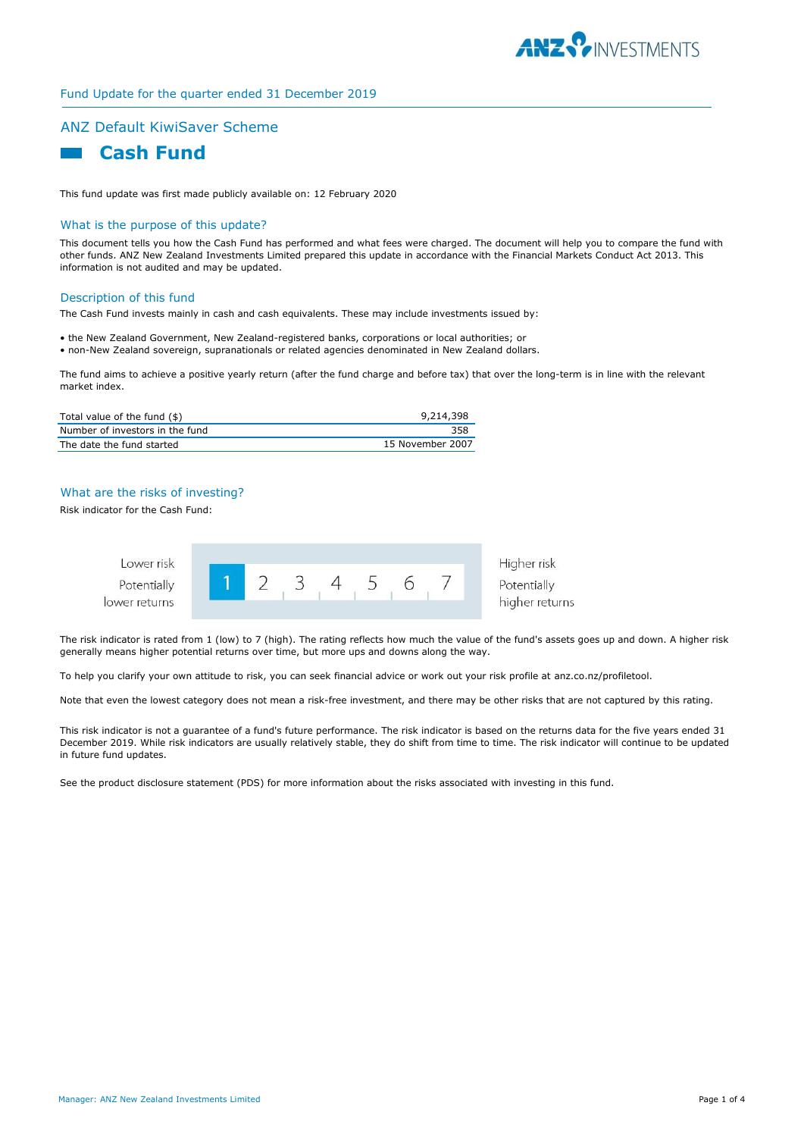

### Fund Update for the quarter ended 31 December 2019

# ANZ Default KiwiSaver Scheme



This fund update was first made publicly available on: 12 February 2020

### What is the purpose of this update?

This document tells you how the Cash Fund has performed and what fees were charged. The document will help you to compare the fund with other funds. ANZ New Zealand Investments Limited prepared this update in accordance with the Financial Markets Conduct Act 2013. This information is not audited and may be updated.

### Description of this fund

The Cash Fund invests mainly in cash and cash equivalents. These may include investments issued by:

• the New Zealand Government, New Zealand-registered banks, corporations or local authorities; or • non-New Zealand sovereign, supranationals or related agencies denominated in New Zealand dollars.

The fund aims to achieve a positive yearly return (after the fund charge and before tax) that over the long-term is in line with the relevant market index.

| Total value of the fund $(\$)$  | 9,214,398        |
|---------------------------------|------------------|
| Number of investors in the fund | 358              |
| The date the fund started       | 15 November 2007 |

### What are the risks of investing?

Risk indicator for the Cash Fund:



The risk indicator is rated from 1 (low) to 7 (high). The rating reflects how much the value of the fund's assets goes up and down. A higher risk generally means higher potential returns over time, but more ups and downs along the way.

To help you clarify your own attitude to risk, you can seek financial advice or work out your risk profile at anz.co.nz/profiletool.

Note that even the lowest category does not mean a risk-free investment, and there may be other risks that are not captured by this rating.

This risk indicator is not a guarantee of a fund's future performance. The risk indicator is based on the returns data for the five years ended 31 December 2019. While risk indicators are usually relatively stable, they do shift from time to time. The risk indicator will continue to be updated in future fund updates.

See the product disclosure statement (PDS) for more information about the risks associated with investing in this fund.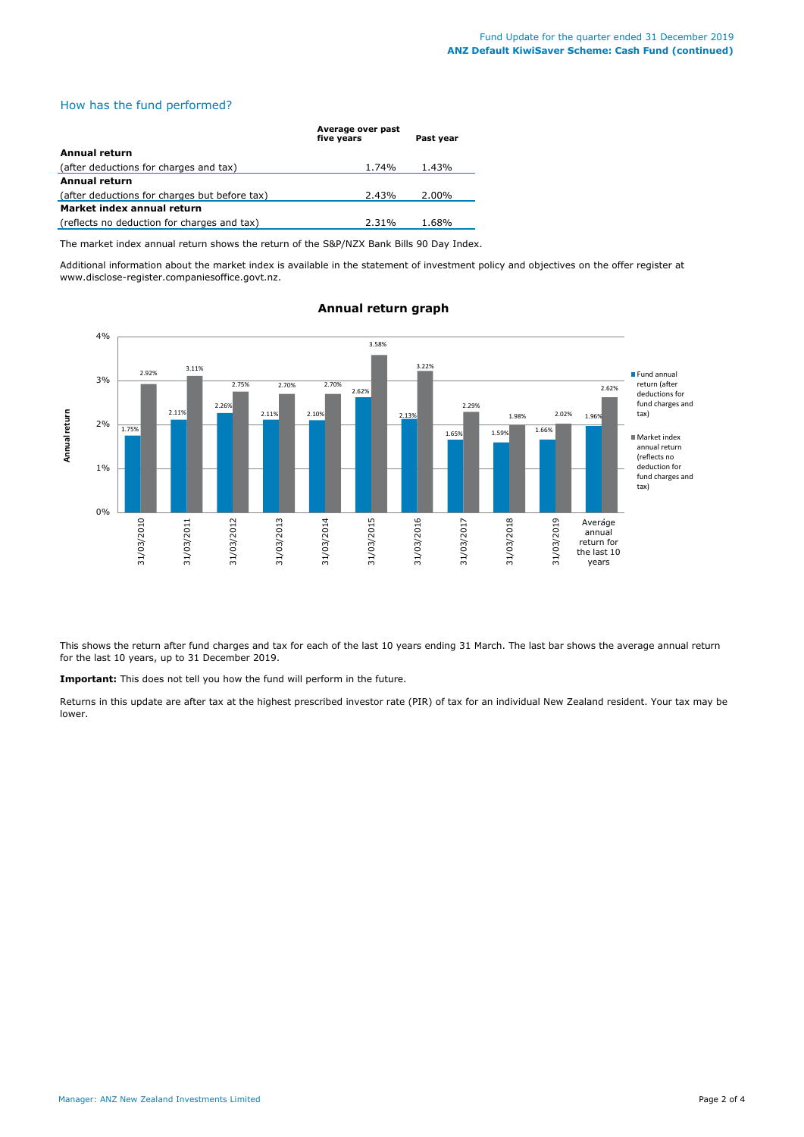# How has the fund performed?

|                                               | Average over past<br>five vears | Past vear |
|-----------------------------------------------|---------------------------------|-----------|
| Annual return                                 |                                 |           |
| (after deductions for charges and tax)        | 1.74%                           | 1.43%     |
| Annual return                                 |                                 |           |
| (after deductions for charges but before tax) | 2.43%                           | 2.00%     |
| Market index annual return                    |                                 |           |
| (reflects no deduction for charges and tax)   | 2.31%                           | 1.68%     |

The market index annual return shows the return of the S&P/NZX Bank Bills 90 Day Index.

Additional information about the market index is available in the statement of investment policy and objectives on the offer register at www.disclose-register.companiesoffice.govt.nz.



# **Annual return graph**

This shows the return after fund charges and tax for each of the last 10 years ending 31 March. The last bar shows the average annual return for the last 10 years, up to 31 December 2019.

**Important:** This does not tell you how the fund will perform in the future.

Returns in this update are after tax at the highest prescribed investor rate (PIR) of tax for an individual New Zealand resident. Your tax may be lower.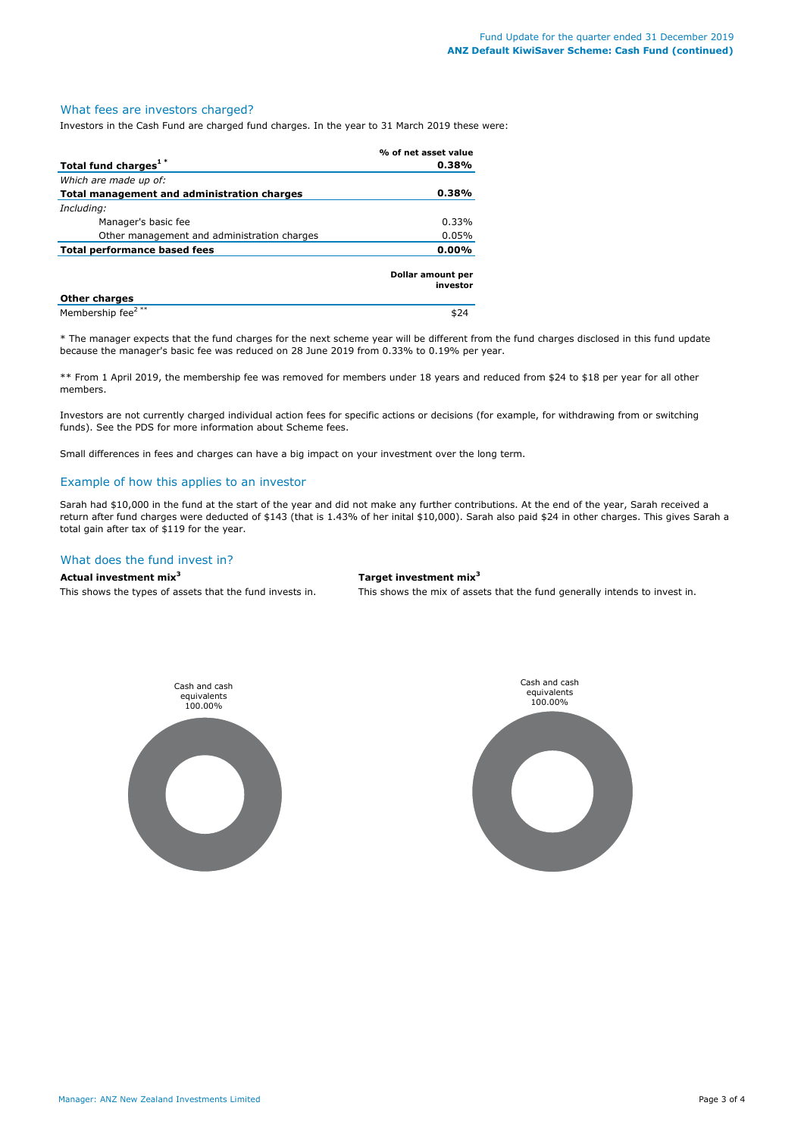#### What fees are investors charged?

Investors in the Cash Fund are charged fund charges. In the year to 31 March 2019 these were:

|                                             | % of net asset value          |
|---------------------------------------------|-------------------------------|
| Total fund charges <sup>1*</sup>            | 0.38%                         |
| Which are made up of:                       |                               |
| Total management and administration charges | 0.38%                         |
| Including:                                  |                               |
| Manager's basic fee                         | 0.33%                         |
| Other management and administration charges | 0.05%                         |
| Total performance based fees<br>0.00%       |                               |
|                                             | Dollar amount per<br>investor |
| <b>Other charges</b>                        |                               |
| Membership fee <sup>2**</sup>               | \$24                          |

\* The manager expects that the fund charges for the next scheme year will be different from the fund charges disclosed in this fund update because the manager's basic fee was reduced on 28 June 2019 from 0.33% to 0.19% per year.

\*\* From 1 April 2019, the membership fee was removed for members under 18 years and reduced from \$24 to \$18 per year for all other members.

Investors are not currently charged individual action fees for specific actions or decisions (for example, for withdrawing from or switching funds). See the PDS for more information about Scheme fees.

Small differences in fees and charges can have a big impact on your investment over the long term.

### Example of how this applies to an investor

Sarah had \$10,000 in the fund at the start of the year and did not make any further contributions. At the end of the year, Sarah received a return after fund charges were deducted of \$143 (that is 1.43% of her inital \$10,000). Sarah also paid \$24 in other charges. This gives Sarah a total gain after tax of \$119 for the year.

# What does the fund invest in?

### **Actual investment mix<sup>3</sup> Target investment mix<sup>3</sup>**

This shows the types of assets that the fund invests in. This shows the mix of assets that the fund generally intends to invest in.